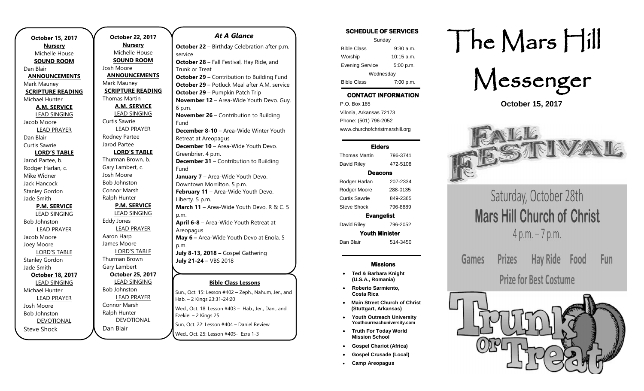| <b>October 15, 2017</b>  | October 22, 2017        |
|--------------------------|-------------------------|
| <b>Nursery</b>           | <u>Nursery</u>          |
| Michelle House           | Michelle House          |
| <b>SOUND ROOM</b>        | <b>SOUND ROOM</b>       |
| Dan Blair                | Josh Moore              |
| <b>ANNOUNCEMENTS</b>     | <b>ANNOUNCEMENT:</b>    |
| Mark Mauney              | Mark Mauney             |
| <b>SCRIPTURE READING</b> | <b>SCRIPTURE READIN</b> |
| Michael Hunter           | <b>Thomas Martin</b>    |
| <b>A.M. SERVICE</b>      | <b>A.M. SERVICE</b>     |
| <b>LEAD SINGING</b>      | <b>LEAD SINGING</b>     |
| Jacob Moore              | Curtis Sawrie           |
| <b>LEAD PRAYER</b>       | <b>LEAD PRAYER</b>      |
| Dan Blair                | Rodney Partee           |
| Curtis Sawrie            | Jarod Partee            |
| <b>LORD'S TABLE</b>      | <b>LORD'S TABLE</b>     |
| Jarod Partee, b.         | Thurman Brown, b.       |
| Rodger Harlan, c.        | Gary Lambert, c.        |
| Mike Widner              | Josh Moore              |
| Jack Hancock             | <b>Bob Johnston</b>     |
| <b>Stanley Gordon</b>    | <b>Connor Marsh</b>     |
| Jade Smith               | Ralph Hunter            |
| <b>P.M. SERVICE</b>      | <b>P.M. SERVICE</b>     |
| <b>LEAD SINGING</b>      | <b>LEAD SINGING</b>     |
| <b>Bob Johnston</b>      | <b>Eddy Jones</b>       |
| <b>LEAD PRAYER</b>       | <b>LEAD PRAYER</b>      |
| Jacob Moore              | Aaron Harp              |
| Joey Moore               | James Moore             |
| <b>LORD'S TABLE</b>      | <b>LORD'S TABLE</b>     |
| <b>Stanley Gordon</b>    | Thurman Brown           |
| Jade Smith               | Gary Lambert            |
| October 18, 2017         | <b>October 25, 2017</b> |
| <b>LEAD SINGING</b>      | <b>LEAD SINGING</b>     |
| Michael Hunter           | <b>Bob Johnston</b>     |
| <b>LEAD PRAYER</b>       | <b>LEAD PRAYER</b>      |
| Josh Moore               | Connor Marsh            |
| <b>Bob Johnston</b>      | Ralph Hunter            |
| DEVOTIONAL               | <b>DEVOTIONAL</b>       |
| <b>Steve Shock</b>       | Dan Blair               |
|                          |                         |

### **EMENTS READING Bible Class Lessons** Sun., Oct. 15: Lesson #402 – Zeph., Nahum, Jer., and Hab. – 2 Kings 23:31-24:20 Wed., Oct. 18: Lesson #403 - Hab., Jer., Dan., and Ezekiel – 2 Kings 25 Sun, Oct. 22: Lesson #404 – Daniel Review *At A Glance*  **October 22** – Birthday Celebration after p.m. service **October 28** – Fall Festival, Hay Ride, and Trunk or Treat **October 29** – Contribution to Building Fund **October 29** – Potluck Meal after A.M. service **October 29** – Pumpkin Patch Trip **November 12** – Area-Wide Youth Devo. Guy. 6 p.m. **November 26** – Contribution to Building Fund **December 8-10** – Area-Wide Winter Youth Retreat at Areopagus **December 10** – Area-Wide Youth Devo. Greenbrier. 4 p.m. **December 31** – Contribution to Building Fund **January 7** – Area-Wide Youth Devo. Downtown Morrilton. 5 p.m. **February 11** – Area-Wide Youth Devo. Liberty. 5 p.m. **March 11** – Area-Wide Youth Devo. R & C. 5 p.m. **April 6-8** – Area-Wide Youth Retreat at Areopagus **May 6 –** Area-Wide Youth Devo at Enola. 5 p.m. **July 8-13, 2018 –** Gospel Gathering **July 21-24** – VBS 2018

Wed., Oct. 25: Lesson #405- Ezra 1-3

Sunday Bible Class 9:30 a.m. Worship 10:15 a.m. Evening Service 5:00 p.m. Wednesday Bible Class 7:00 p.m.

## CONTACT INFORMATION

SCHEDULE OF SERVICES

. .o. Box 166<br>Vilonia, Arkansas 72173 P.O. Box 185 Phone: (501) 796-2052 www.churchofchristmarshill.org

### Elders

Thomas Martin 796-3741 David Riley 472-5108 Deacons Rodger Harlan 207-2334 Rodger Moore 288-0135 Curtis Sawrie 849-2365 Steve Shock 796-8889 Evangelist

David Riley 796-2052 Youth Minister

Dan Blair 514-3450

#### Missions

- **Ted & Barbara Knight (U.S.A., Romania)**
- **Roberto Sarmiento, Costa Rica**
- **Main Street Church of Christ (Stuttgart, Arkansas)**
- **Youth Outreach University Youthourreachuniversity.com**
- **Truth For Today World Mission School**
- **Gospel Chariot (Africa)**
- **Gospel Crusade (Local)**
- **Camp Areopagus**

# The Mars Hill



**October 15, 2017**



Saturday, October 28th **Mars Hill Church of Christ**  $4 p.m. - 7 p.m.$ 

Games **Prizes** Hay Ride **Fun** Food **Prize for Best Costume**